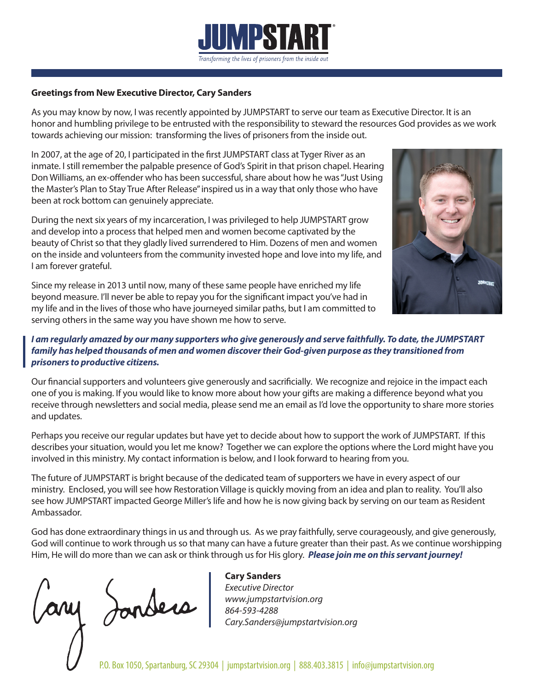

#### **Greetings from New Executive Director, Cary Sanders**

As you may know by now, I was recently appointed by JUMPSTART to serve our team as Executive Director. It is an honor and humbling privilege to be entrusted with the responsibility to steward the resources God provides as we work towards achieving our mission: transforming the lives of prisoners from the inside out.

In 2007, at the age of 20, I participated in the first JUMPSTART class at Tyger River as an inmate. I still remember the palpable presence of God's Spirit in that prison chapel. Hearing Don Williams, an ex-offender who has been successful, share about how he was "Just Using the Master's Plan to Stay True After Release" inspired us in a way that only those who have been at rock bottom can genuinely appreciate.

During the next six years of my incarceration, I was privileged to help JUMPSTART grow and develop into a process that helped men and women become captivated by the beauty of Christ so that they gladly lived surrendered to Him. Dozens of men and women on the inside and volunteers from the community invested hope and love into my life, and I am forever grateful.

Since my release in 2013 until now, many of these same people have enriched my life beyond measure. I'll never be able to repay you for the significant impact you've had in my life and in the lives of those who have journeyed similar paths, but I am committed to serving others in the same way you have shown me how to serve.



#### *I am regularly amazed by our many supporters who give generously and serve faithfully. To date, the JUMPSTART family has helped thousands of men and women discover their God-given purpose as they transitioned from prisoners to productive citizens.*

Our financial supporters and volunteers give generously and sacrificially. We recognize and rejoice in the impact each one of you is making. If you would like to know more about how your gifts are making a difference beyond what you receive through newsletters and social media, please send me an email as I'd love the opportunity to share more stories and updates.

Perhaps you receive our regular updates but have yet to decide about how to support the work of JUMPSTART. If this describes your situation, would you let me know? Together we can explore the options where the Lord might have you involved in this ministry. My contact information is below, and I look forward to hearing from you.

The future of JUMPSTART is bright because of the dedicated team of supporters we have in every aspect of our ministry. Enclosed, you will see how Restoration Village is quickly moving from an idea and plan to reality. You'll also see how JUMPSTART impacted George Miller's life and how he is now giving back by serving on our team as Resident Ambassador.

God has done extraordinary things in us and through us. As we pray faithfully, serve courageously, and give generously, God will continue to work through us so that many can have a future greater than their past. As we continue worshipping Him, He will do more than we can ask or think through us for His glory. *Please join me on this servant journey!* 

my Jonders

# **Cary Sanders**

*Executive Director www.jumpstartvision.org 864-593-4288 Cary.Sanders@jumpstartvision.org*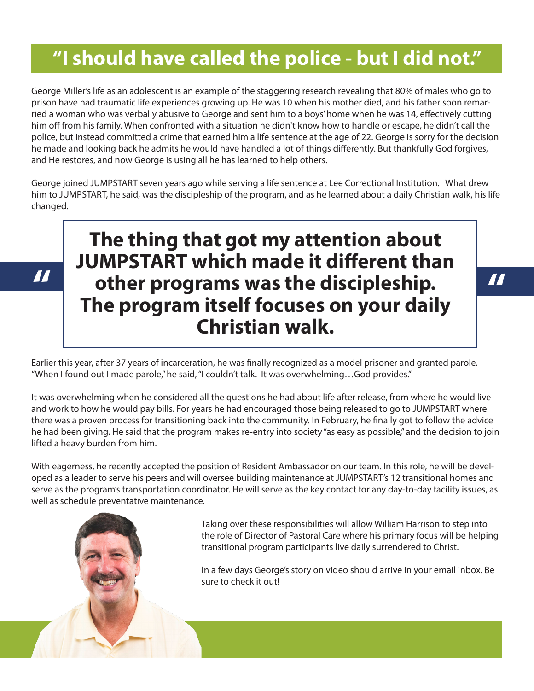# **"I should have called the police - but I did not."**

George Miller's life as an adolescent is an example of the staggering research revealing that 80% of males who go to prison have had traumatic life experiences growing up. He was 10 when his mother died, and his father soon remarried a woman who was verbally abusive to George and sent him to a boys' home when he was 14, effectively cutting him off from his family. When confronted with a situation he didn't know how to handle or escape, he didn't call the police, but instead committed a crime that earned him a life sentence at the age of 22. George is sorry for the decision he made and looking back he admits he would have handled a lot of things differently. But thankfully God forgives, and He restores, and now George is using all he has learned to help others.

George joined JUMPSTART seven years ago while serving a life sentence at Lee Correctional Institution. What drew him to JUMPSTART, he said, was the discipleship of the program, and as he learned about a daily Christian walk, his life changed.

# **The thing that got my attention about JUMPSTART which made it different than other programs was the discipleship. The program itself focuses on your daily Christian walk.** The programs was the discipleship.

Earlier this year, after 37 years of incarceration, he was finally recognized as a model prisoner and granted parole. "When I found out I made parole," he said, "I couldn't talk. It was overwhelming…God provides."

It was overwhelming when he considered all the questions he had about life after release, from where he would live and work to how he would pay bills. For years he had encouraged those being released to go to JUMPSTART where there was a proven process for transitioning back into the community. In February, he finally got to follow the advice he had been giving. He said that the program makes re-entry into society "as easy as possible," and the decision to join lifted a heavy burden from him.

With eagerness, he recently accepted the position of Resident Ambassador on our team. In this role, he will be developed as a leader to serve his peers and will oversee building maintenance at JUMPSTART's 12 transitional homes and serve as the program's transportation coordinator. He will serve as the key contact for any day-to-day facility issues, as well as schedule preventative maintenance.

> Taking over these responsibilities will allow William Harrison to step into the role of Director of Pastoral Care where his primary focus will be helping transitional program participants live daily surrendered to Christ.

In a few days George's story on video should arrive in your email inbox. Be sure to check it out!